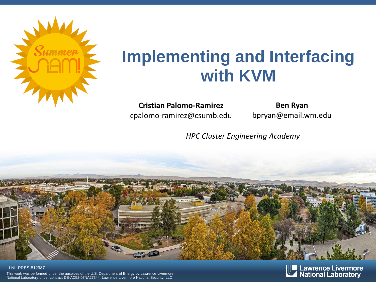

## **Implementing and Interfacing with KVM**

**Cristian Palomo-Ramirez** cpalomo-ramirez@csumb.edu

**Ben Ryan** bpryan@email.wm.edu

*HPC Cluster Engineering Academy*



### LLNL-PRES-812987

This work was performed under the auspices of the U.S. Department of Energy by Lawrence Livermore National Laboratory under contract DE-AC52-07NA27344. Lawrence Livermore National Security, LLC

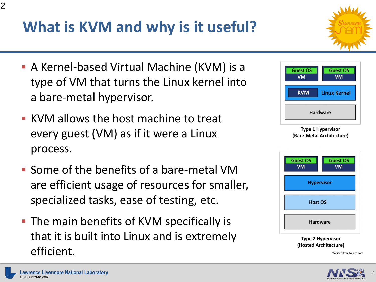# **What is KVM and why is it useful?**

- **A Kernel-based Virtual Machine (KVM) is a** type of VM that turns the Linux kernel into a bare-metal hypervisor.
- KVM allows the host machine to treat every guest (VM) as if it were a Linux process.
- Some of the benefits of a bare-metal VM are efficient usage of resources for smaller, specialized tasks, ease of testing, etc.
- The main benefits of KVM specifically is that it is built into Linux and is extremely efficient.



2



**Host OS** 

**Hardware** 

**Type 2 Hypervisor** 





(Hosted Architecture) Modified from Nakivo.com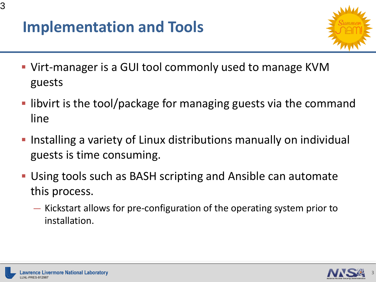### **Implementation and Tools**



- Virt-manager is a GUI tool commonly used to manage KVM guests
- libvirt is the tool/package for managing guests via the command line
- **Installing a variety of Linux distributions manually on individual** guests is time consuming.
- Using tools such as BASH scripting and Ansible can automate this process.
	- Kickstart allows for pre-configuration of the operating system prior to installation.

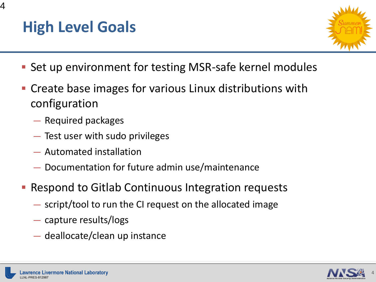4



- **Set up environment for testing MSR-safe kernel modules**
- **Create base images for various Linux distributions with** configuration
	- Required packages
	- Test user with sudo privileges
	- Automated installation
	- Documentation for future admin use/maintenance
- Respond to Gitlab Continuous Integration requests
	- script/tool to run the CI request on the allocated image
	- capture results/logs
	- deallocate/clean up instance